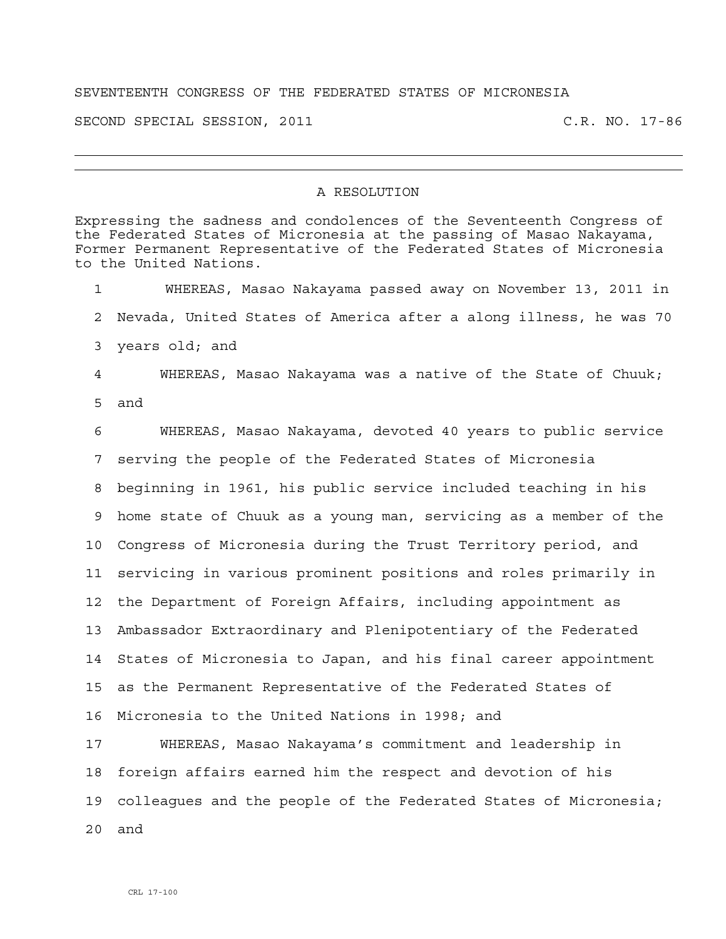## SEVENTEENTH CONGRESS OF THE FEDERATED STATES OF MICRONESIA

SECOND SPECIAL SESSION, 2011 C.R. NO. 17-86

## A RESOLUTION

Expressing the sadness and condolences of the Seventeenth Congress of the Federated States of Micronesia at the passing of Masao Nakayama, Former Permanent Representative of the Federated States of Micronesia to the United Nations. 1 WHEREAS, Masao Nakayama passed away on November 13, 2011 in 2 Nevada, United States of America after a along illness, he was 70 3 years old; and 4 WHEREAS, Masao Nakayama was a native of the State of Chuuk; 5 and 6 WHEREAS, Masao Nakayama, devoted 40 years to public service 7 serving the people of the Federated States of Micronesia 8 beginning in 1961, his public service included teaching in his 9 home state of Chuuk as a young man, servicing as a member of the 10 Congress of Micronesia during the Trust Territory period, and 11 servicing in various prominent positions and roles primarily in 12 the Department of Foreign Affairs, including appointment as 13 Ambassador Extraordinary and Plenipotentiary of the Federated 14 States of Micronesia to Japan, and his final career appointment 15 as the Permanent Representative of the Federated States of 16 Micronesia to the United Nations in 1998; and 17 WHEREAS, Masao Nakayama's commitment and leadership in 18 foreign affairs earned him the respect and devotion of his 19 colleagues and the people of the Federated States of Micronesia; 20 and

CRL 17-100